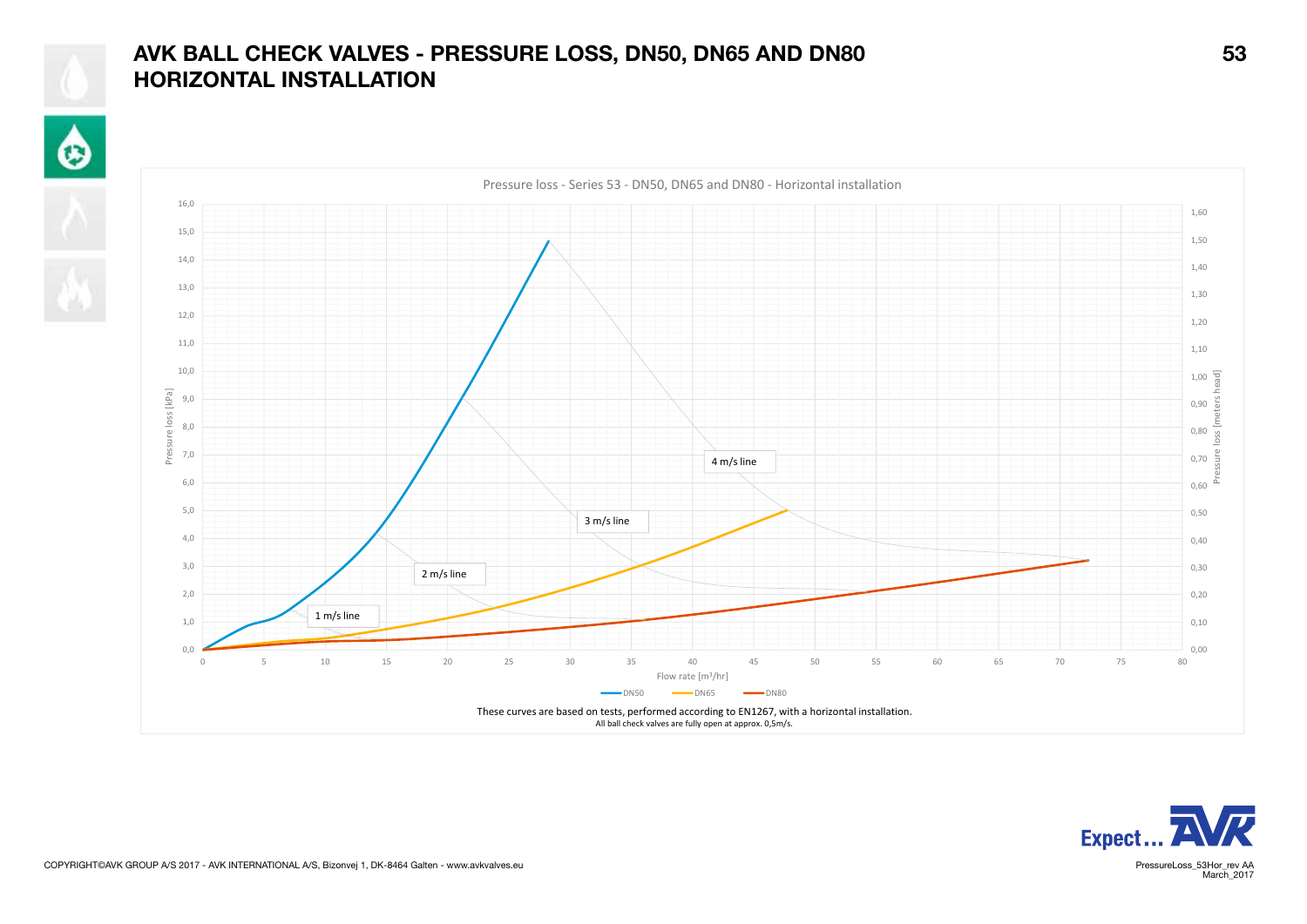## AVK BALL CHECK VALVES - PRESSURE LOSS, DN50, DN65 AND DN80 53 HORIZONTAL INSTALLATION

 $\hat{\mathbf{\Theta}}$ 







March 2017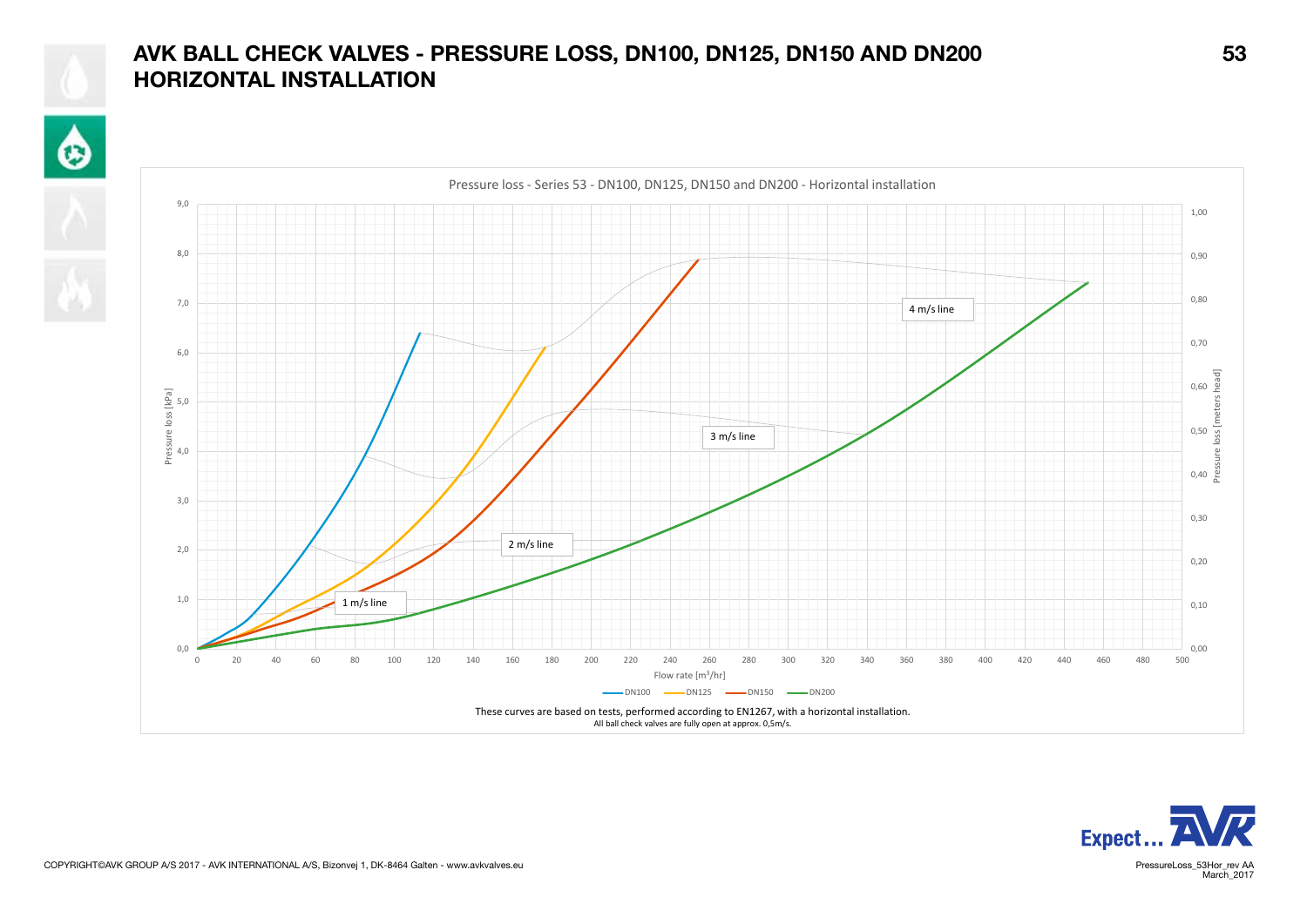## AVK BALL CHECK VALVES - PRESSURE LOSS, DN100, DN125, DN150 AND DN200 53 HORIZONTAL INSTALLATION

 $\hat{\mathbf{e}}$ 







March<sub>2017</sub>